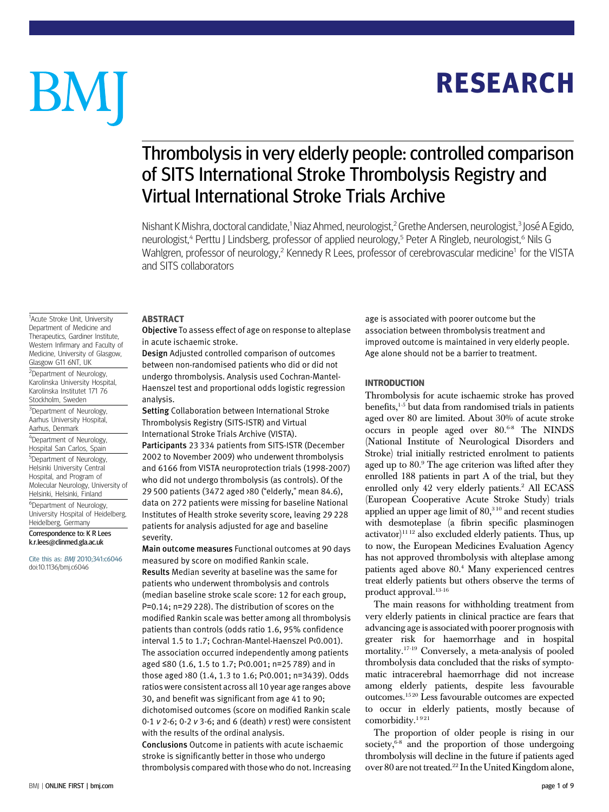# **RESEARCH** RESEARCH

# BM

## Thrombolysis in very elderly people: controlled comparison of SITS International Stroke Thrombolysis Registry and Virtual International Stroke Trials Archive

Nishant K Mishra, doctoral candidate,<sup>1</sup> Niaz Ahmed, neurologist,<sup>2</sup> Grethe Andersen, neurologist,<sup>3</sup> José A Egido, neurologist,<sup>4</sup> Perttu J Lindsberg, professor of applied neurology,<sup>5</sup> Peter A Ringleb, neurologist,<sup>6</sup> Nils G Wahlgren, professor of neurology,<sup>2</sup> Kennedy R Lees, professor of cerebrovascular medicine<sup>1</sup> for the VISTA and SITS collaborators

#### **ARSTRACT**

Objective To assess effect of age on response to alteplase in acute ischaemic stroke.

Design Adjusted controlled comparison of outcomes between non-randomised patients who did or did not undergo thrombolysis. Analysis used Cochran-Mantel-Haenszel test and proportional odds logistic regression analysis.

Setting Collaboration between International Stroke Thrombolysis Registry (SITS-ISTR) and Virtual International Stroke Trials Archive (VISTA). Participants 23 334 patients from SITS-ISTR (December 2002 to November 2009) who underwent thrombolysis

and 6166 from VISTA neuroprotection trials (1998-2007) who did not undergo thrombolysis (as controls). Of the 29 500 patients (3472 aged >80 ("elderly," mean 84.6), data on 272 patients were missing for baseline National Institutes of Health stroke severity score, leaving 29 228 patients for analysis adjusted for age and baseline severity.

Main outcome measures Functional outcomes at 90 days measured by score on modified Rankin scale. Results Median severity at baseline was the same for patients who underwent thrombolysis and controls (median baseline stroke scale score: 12 for each group, P=0.14; n=29 228). The distribution of scores on the modified Rankin scale was better among all thrombolysis patients than controls (odds ratio 1.6, 95% confidence interval 1.5 to 1.7; Cochran-Mantel-Haenszel P<0.001). The association occurred independently among patients aged ≤80 (1.6, 1.5 to 1.7; P<0.001; n=25 789) and in those aged >80 (1.4, 1.3 to 1.6; P<0.001; n=3439). Odds ratios were consistent across all 10 year age ranges above 30, and benefit was significant from age 41 to 90; dichotomised outcomes (score on modified Rankin scale 0-1  $v$  2-6; 0-2  $v$  3-6; and 6 (death)  $v$  rest) were consistent with the results of the ordinal analysis. Conclusions Outcome in patients with acute ischaemic

stroke is significantly better in those who undergo thrombolysis compared with those who do not. Increasing age is associated with poorer outcome but the association between thrombolysis treatment and improved outcome is maintained in very elderly people. Age alone should not be a barrier to treatment.

#### **INTRODUCTION**

**Thrombolysis for acute ischaemic stroke has proved** benefits,<sup>1-5</sup> but data from randomised trials in patients aged over 80 are limited. About 30% of acute stroke occurs in people aged over 80.6-8 The NINDS (National Institute of Neurological Disorders and Stroke) trial initially restricted enrolment to patients aged up to 80.9 The age criterion was lifted after they enrolled 188 patients in part A of the trial, but they enrolled only 42 very elderly patients.<sup>2</sup> All ECASS (European Cooperative Acute Stroke Study) trials applied an upper age limit of  $80<sup>310</sup>$  and recent studies with desmoteplase (a fibrin specific plasminogen  $\arct{0}$ <sup>1112</sup> also excluded elderly patients. Thus, up to now, the European Medicines Evaluation Agency has not approved thrombolysis with alteplase among patients aged above 80.4 Many experienced centres treat elderly patients but others observe the terms of product approval.<sup>13-16</sup>

The main reasons for withholding treatment from very elderly patients in clinical practice are fears that advancing age is associated with poorer prognosis with greater risk for haemorrhage and in hospital mortality.17-19 Conversely, a meta-analysis of pooled thrombolysis data concluded that the risks of symptomatic intracerebral haemorrhage did not increase among elderly patients, despite less favourable outcomes.15 20 Less favourable outcomes are expected to occur in elderly patients, mostly because of comorbidity.<sup>1921</sup>

The proportion of older people is rising in our society, $6-8$  and the proportion of those undergoing thrombolysis will decline in the future if patients aged over 80 are not treated.22 In the United Kingdom alone,

<sup>1</sup>Acute Stroke Unit, University Department of Medicine and Therapeutics, Gardiner Institute, Western Infirmary and Faculty of Medicine, University of Glasgow, Glasgow G11 6NT, UK <sup>2</sup>Department of Neurology,

Karolinska University Hospital, Karolinska Institutet 171 76 Stockholm, Sweden

<sup>3</sup>Department of Neurology, Aarhus University Hospital, Aarhus, Denmark

4 Department of Neurology, Hospital San Carlos, Spain

<sup>5</sup>Department of Neurology, Helsinki University Central Hospital, and Program of Molecular Neurology, University of Helsinki, Helsinki, Finland

6 Department of Neurology, University Hospital of Heidelberg, Heidelberg, Germany

Correspondence to: K R Lees k.r.lees@clinmed.gla.ac.uk

Cite this as: BMJ 2010;341:c6046 doi:10.1136/bmj.c6046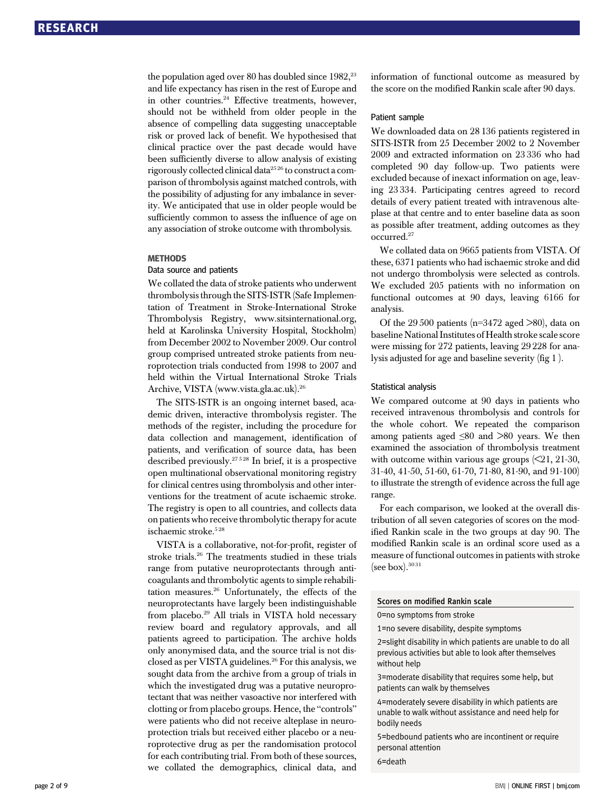the population aged over 80 has doubled since 1982,<sup>23</sup> and life expectancy has risen in the rest of Europe and in other countries.<sup>24</sup> Effective treatments, however, should not be withheld from older people in the absence of compelling data suggesting unacceptable risk or proved lack of benefit. We hypothesised that clinical practice over the past decade would have been sufficiently diverse to allow analysis of existing rigorously collected clinical data25 26 to construct a comparison of thrombolysis against matched controls, with the possibility of adjusting for any imbalance in severity. We anticipated that use in older people would be sufficiently common to assess the influence of age on any association of stroke outcome with thrombolysis.

#### **METHODS**

## Data source and patients

We collated the data of stroke patients who underwent thrombolysis through the SITS-ISTR (Safe Implementation of Treatment in Stroke-International Stroke Thrombolysis Registry, www.sitsinternational.org, held at Karolinska University Hospital, Stockholm) from December 2002 to November 2009. Our control group comprised untreated stroke patients from neuroprotection trials conducted from 1998 to 2007 and held within the Virtual International Stroke Trials Archive, VISTA (www.vista.gla.ac.uk).26

The SITS-ISTR is an ongoing internet based, academic driven, interactive thrombolysis register. The methods of the register, including the procedure for data collection and management, identification of patients, and verification of source data, has been described previously.<sup>27528</sup> In brief, it is a prospective open multinational observational monitoring registry for clinical centres using thrombolysis and other interventions for the treatment of acute ischaemic stroke. The registry is open to all countries, and collects data on patients who receive thrombolytic therapy for acute ischaemic stroke.<sup>528</sup>

VISTA is a collaborative, not-for-profit, register of stroke trials.26 The treatments studied in these trials range from putative neuroprotectants through anticoagulants and thrombolytic agents to simple rehabilitation measures.26 Unfortunately, the effects of the neuroprotectants have largely been indistinguishable from placebo.<sup>29</sup> All trials in VISTA hold necessary review board and regulatory approvals, and all patients agreed to participation. The archive holds only anonymised data, and the source trial is not disclosed as per VISTA guidelines.<sup>26</sup> For this analysis, we sought data from the archive from a group of trials in which the investigated drug was a putative neuroprotectant that was neither vasoactive nor interfered with clotting or from placebo groups. Hence, the "controls" were patients who did not receive alteplase in neuroprotection trials but received either placebo or a neuroprotective drug as per the randomisation protocol for each contributing trial. From both of these sources, we collated the demographics, clinical data, and information of functional outcome as measured by the score on the modified Rankin scale after 90 days.

#### Patient sample

We downloaded data on 28 136 patients registered in SITS-ISTR from 25 December 2002 to 2 November 2009 and extracted information on 23 336 who had completed 90 day follow-up. Two patients were excluded because of inexact information on age, leaving 23 334. Participating centres agreed to record details of every patient treated with intravenous alteplase at that centre and to enter baseline data as soon as possible after treatment, adding outcomes as they occurred.27

We collated data on 9665 patients from VISTA. Of these, 6371 patients who had ischaemic stroke and did not undergo thrombolysis were selected as controls. We excluded 205 patients with no information on functional outcomes at 90 days, leaving 6166 for analysis.

Of the 29 500 patients (n=3472 aged >80), data on baseline National Institutes of Health stroke scale score were missing for 272 patients, leaving 29 228 for analysis adjusted for age and baseline severity (fig 1 ).

#### Statistical analysis

We compared outcome at 90 days in patients who received intravenous thrombolysis and controls for the whole cohort. We repeated the comparison among patients aged ≤80 and >80 years. We then examined the association of thrombolysis treatment with outcome within various age groups  $\approx$  21, 21-30, 31-40, 41-50, 51-60, 61-70, 71-80, 81-90, and 91-100) to illustrate the strength of evidence across the full age range.

For each comparison, we looked at the overall distribution of all seven categories of scores on the modified Rankin scale in the two groups at day 90. The modified Rankin scale is an ordinal score used as a measure of functional outcomes in patients with stroke (see box). $3031$ 

#### Scores on modified Rankin scale

0=no symptoms from stroke

1=no severe disability, despite symptoms

2=slight disability in which patients are unable to do all previous activities but able to look after themselves without help

3=moderate disability that requires some help, but patients can walk by themselves

4=moderately severe disability in which patients are unable to walk without assistance and need help for bodily needs

5=bedbound patients who are incontinent or require personal attention

6=death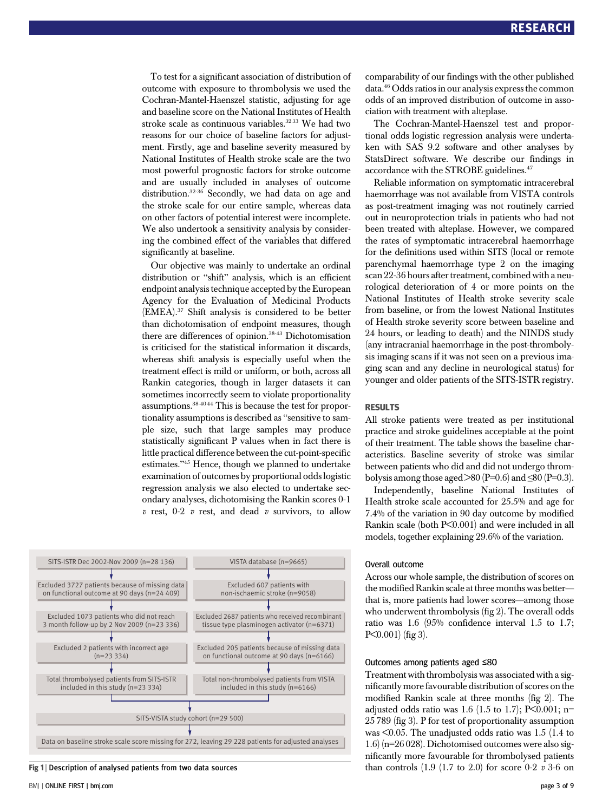To test for a significant association of distribution of outcome with exposure to thrombolysis we used the Cochran-Mantel-Haenszel statistic, adjusting for age and baseline score on the National Institutes of Health stroke scale as continuous variables.<sup>3233</sup> We had two reasons for our choice of baseline factors for adjustment. Firstly, age and baseline severity measured by National Institutes of Health stroke scale are the two most powerful prognostic factors for stroke outcome and are usually included in analyses of outcome distribution.32-36 Secondly, we had data on age and the stroke scale for our entire sample, whereas data on other factors of potential interest were incomplete. We also undertook a sensitivity analysis by considering the combined effect of the variables that differed significantly at baseline.

Our objective was mainly to undertake an ordinal distribution or "shift" analysis, which is an efficient endpoint analysis technique accepted by the European Agency for the Evaluation of Medicinal Products (EMEA).37 Shift analysis is considered to be better than dichotomisation of endpoint measures, though there are differences of opinion.<sup>38-43</sup> Dichotomisation is criticised for the statistical information it discards, whereas shift analysis is especially useful when the treatment effect is mild or uniform, or both, across all Rankin categories, though in larger datasets it can sometimes incorrectly seem to violate proportionality assumptions.38-40 44 This is because the test for proportionality assumptions is described as "sensitive to sample size, such that large samples may produce statistically significant P values when in fact there is little practical difference between the cut-point-specific estimates."<sup>45</sup> Hence, though we planned to undertake examination of outcomes by proportional odds logistic regression analysis we also elected to undertake secondary analyses, dichotomising the Rankin scores 0-1  $v$  rest, 0-2  $v$  rest, and dead  $v$  survivors, to allow



Fig 1 | Description of analysed patients from two data sources

comparability of our findings with the other published data.<sup>46</sup> Odds ratios in our analysis express the common odds of an improved distribution of outcome in association with treatment with alteplase.

The Cochran-Mantel-Haenszel test and proportional odds logistic regression analysis were undertaken with SAS 9.2 software and other analyses by StatsDirect software. We describe our findings in accordance with the STROBE guidelines.<sup>47</sup>

Reliable information on symptomatic intracerebral haemorrhage was not available from VISTA controls as post-treatment imaging was not routinely carried out in neuroprotection trials in patients who had not been treated with alteplase. However, we compared the rates of symptomatic intracerebral haemorrhage for the definitions used within SITS (local or remote parenchymal haemorrhage type 2 on the imaging scan 22-36 hours after treatment, combined with a neurological deterioration of 4 or more points on the National Institutes of Health stroke severity scale from baseline, or from the lowest National Institutes of Health stroke severity score between baseline and 24 hours, or leading to death) and the NINDS study (any intracranial haemorrhage in the post-thrombolysis imaging scans if it was not seen on a previous imaging scan and any decline in neurological status) for younger and older patients of the SITS-ISTR registry.

#### **RESIJITS**

--------<br>All stroke patients were treated as per institutional practice and stroke guidelines acceptable at the point of their treatment. The table shows the baseline characteristics. Baseline severity of stroke was similar between patients who did and did not undergo thrombolysis among those aged >80 (P=0.6) and  $\leq$ 80 (P=0.3).

Independently, baseline National Institutes of Health stroke scale accounted for 25.5% and age for 7.4% of the variation in 90 day outcome by modified Rankin scale (both P<0.001) and were included in all models, together explaining 29.6% of the variation.

#### Overall outcome

Across our whole sample, the distribution of scores on the modified Rankin scale at three months was better that is, more patients had lower scores—among those who underwent thrombolysis (fig 2). The overall odds ratio was 1.6 (95% confidence interval 1.5 to 1.7; P<0.001) (fig 3).

#### Outcomes among patients aged ≤80

Treatment with thrombolysis was associated with a significantly more favourable distribution of scores on the modified Rankin scale at three months (fig 2). The adjusted odds ratio was 1.6 (1.5 to 1.7); P<0.001; n= 25 789 (fig 3). P for test of proportionality assumption was <0.05. The unadjusted odds ratio was 1.5 (1.4 to 1.6) (n=26 028). Dichotomised outcomes were also significantly more favourable for thrombolysed patients than controls  $(1.9 (1.7 to 2.0)$  for score 0-2 v 3-6 on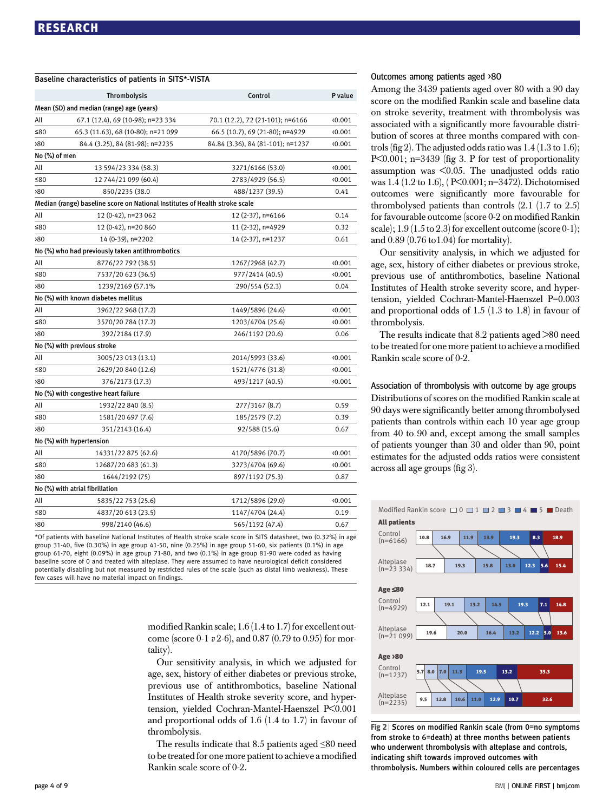|               | Baseline characteristics of patients in SITS*-VISTA                         |                                   |         |  |
|---------------|-----------------------------------------------------------------------------|-----------------------------------|---------|--|
|               | <b>Thrombolysis</b>                                                         | Control                           | P value |  |
|               | Mean (SD) and median (range) age (years)                                    |                                   |         |  |
| All           | 67.1 (12.4), 69 (10-98); n=23 334                                           | 70.1 (12.2), 72 (21-101); n=6166  | 0.001   |  |
| ≤80           | 65.3 (11.63), 68 (10-80); n=21 099                                          | 66.5 (10.7), 69 (21-80); n=4929   | 0.001   |  |
| >80           | 84.4 (3.25), 84 (81-98); n=2235                                             | 84.84 (3.36), 84 (81-101); n=1237 | 0.001   |  |
| No (%) of men |                                                                             |                                   |         |  |
| All           | 13 594/23 334 (58.3)<br>3271/6166 (53.0)                                    |                                   |         |  |
| ≤80           | 12 744/21 099 (60.4)                                                        | 0.001                             |         |  |
| >80           | 850/2235 (38.0                                                              | 488/1237 (39.5)                   | 0.41    |  |
|               | Median (range) baseline score on National Institutes of Health stroke scale |                                   |         |  |
| All           | 12 (0-42), n=23 062                                                         | 12 (2-37), n=6166                 | 0.14    |  |
| ≤ $80$        | 12 (0-42), n=20 860                                                         | 11 (2-32), n=4929                 | 0.32    |  |
| >80           | 14 (0-39), n=2202                                                           | 14 (2-37), n=1237                 | 0.61    |  |
|               | No (%) who had previously taken antithrombotics                             |                                   |         |  |
| All           | 8776/22 792 (38.5)                                                          | 1267/2968 (42.7)                  | 0.001   |  |
| ≤80           | 7537/20 623 (36.5)                                                          | 977/2414 (40.5)                   | 0.001   |  |
| 80            | 1239/2169 (57.1%                                                            | 290/554 (52.3)                    | 0.04    |  |
|               | No (%) with known diabetes mellitus                                         |                                   |         |  |
| All           | 3962/22 968 (17.2)                                                          | 1449/5896 (24.6)                  | 0.001   |  |
| $≤80$         | 3570/20 784 (17.2)                                                          | 1203/4704 (25.6)                  | 0.001   |  |
| >80           | 392/2184 (17.9)                                                             | 246/1192 (20.6)                   | 0.06    |  |
|               | No (%) with previous stroke                                                 |                                   |         |  |
| All           | 3005/23 013 (13.1)                                                          | 2014/5993 (33.6)                  | 0.001   |  |
| ≤80           | 2629/20 840 (12.6)                                                          | 1521/4776 (31.8)                  | 0.001   |  |
| >80           | 376/2173 (17.3)                                                             | 493/1217 (40.5)                   | 0.001   |  |
|               | No (%) with congestive heart failure                                        |                                   |         |  |
| All           | 1932/22 840 (8.5)                                                           | 277/3167 (8.7)                    | 0.59    |  |
| ≤80           | 1581/20 697 (7.6)                                                           | 185/2579 (7.2)                    | 0.39    |  |
| 80            | 351/2143 (16.4)                                                             | 92/588 (15.6)                     | 0.67    |  |
|               | No (%) with hypertension                                                    |                                   |         |  |
| All           | 14331/22 875 (62.6)                                                         | 4170/5896 (70.7)                  | 0.001   |  |
| ≤ $80$        | 12687/20 683 (61.3)                                                         | 3273/4704 (69.6)                  | 0.001   |  |
| >80           | 1644/2192 (75)                                                              | 897/1192 (75.3)                   | 0.87    |  |
|               | No (%) with atrial fibrillation                                             |                                   |         |  |
| All           | 5835/22 753 (25.6)                                                          | 1712/5896 (29.0)                  | 0.001   |  |
| ≤80           | 4837/20 613 (23.5)                                                          | 1147/4704 (24.4)                  | 0.19    |  |
| 80            | 998/2140 (46.6)                                                             | 565/1192 (47.4)                   | 0.67    |  |

\*Of patients with baseline National Institutes of Health stroke scale score in SITS datasheet, two (0.32%) in age group 31-40, five (0.30%) in age group 41-50, nine (0.25%) in age group 51-60, six patients (0.1%) in age group 61-70, eight (0.09%) in age group 71-80, and two (0.1%) in age group 81-90 were coded as having baseline score of 0 and treated with alteplase. They were assumed to have neurological deficit considered potentially disabling but not measured by restricted rules of the scale (such as distal limb weakness). These few cases will have no material impact on findings.

> modified Rankin scale; 1.6 (1.4 to 1.7) for excellent outcome (score 0-1 v 2-6), and 0.87 (0.79 to 0.95) for mortality).

> Our sensitivity analysis, in which we adjusted for age, sex, history of either diabetes or previous stroke, previous use of antithrombotics, baseline National Institutes of Health stroke severity score, and hypertension, yielded Cochran-Mantel-Haenszel P<0.001 and proportional odds of 1.6 (1.4 to 1.7) in favour of thrombolysis.

> The results indicate that 8.5 patients aged  $\leq 80$  need to be treated for one more patient to achieve a modified Rankin scale score of 0-2.

#### Outcomes among patients aged >80

Among the 3439 patients aged over 80 with a 90 day score on the modified Rankin scale and baseline data on stroke severity, treatment with thrombolysis was associated with a significantly more favourable distribution of scores at three months compared with controls (fig 2). The adjusted odds ratio was  $1.4$  (1.3 to 1.6); P<0.001; n=3439 (fig 3. P for test of proportionality assumption was <0.05. The unadjusted odds ratio was 1.4 (1.2 to 1.6), ( P<0.001; n=3472). Dichotomised outcomes were significantly more favourable for thrombolysed patients than controls (2.1 (1.7 to 2.5) for favourable outcome (score 0-2 on modified Rankin scale);  $1.9(1.5 \text{ to } 2.3)$  for excellent outcome (score 0-1); and 0.89 (0.76 to1.04) for mortality).

Our sensitivity analysis, in which we adjusted for age, sex, history of either diabetes or previous stroke, previous use of antithrombotics, baseline National Institutes of Health stroke severity score, and hypertension, yielded Cochran-Mantel-Haenszel P=0.003 and proportional odds of 1.5 (1.3 to 1.8) in favour of thrombolysis.

The results indicate that 8.2 patients aged >80 need to be treated for one more patient to achieve a modified Rankin scale score of 0-2.

Association of thrombolysis with outcome by age groups Distributions of scores on the modified Rankin scale at 90 days were significantly better among thrombolysed patients than controls within each 10 year age group from 40 to 90 and, except among the small samples of patients younger than 30 and older than 90, point estimates for the adjusted odds ratios were consistent across all age groups (fig 3).



Fig 2 <sup>|</sup> Scores on modified Rankin scale (from 0=no symptoms from stroke to 6=death) at three months between patients who underwent thrombolysis with alteplase and controls, indicating shift towards improved outcomes with thrombolysis. Numbers within coloured cells are percentages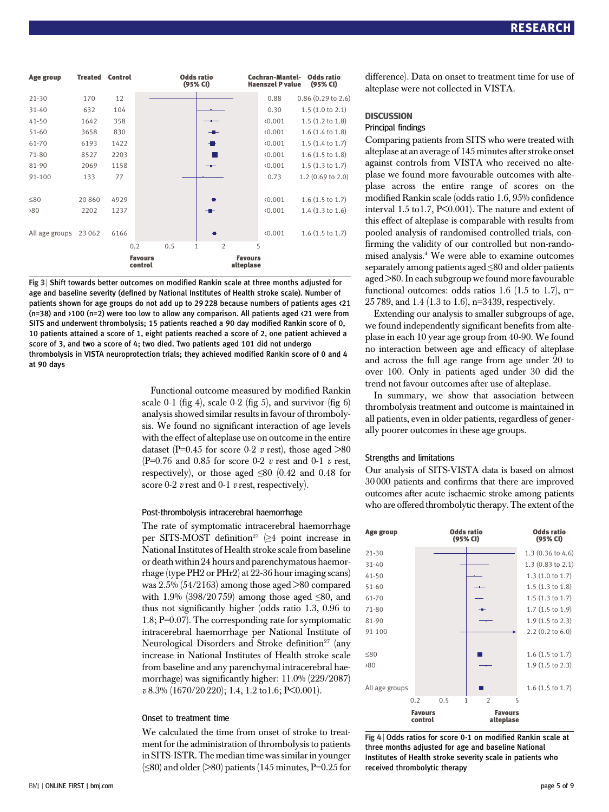| Age group       | <b>Treated</b> | <b>Control</b> |                            | <b>Odds ratio</b><br>(95% CI) |                             | Cochran-Mantel-<br><b>Haenszel P value</b> | <b>Odds ratio</b><br>(95% CI) |
|-----------------|----------------|----------------|----------------------------|-------------------------------|-----------------------------|--------------------------------------------|-------------------------------|
| $21 - 30$       | 170            | 12             |                            |                               |                             | 0.88                                       | $0.86$ $(0.29$ to $2.6)$      |
| $31 - 40$       | 632            | 104            |                            |                               |                             | 0.30                                       | $1.5$ (1.0 to 2.1)            |
| $41 - 50$       | 1642           | 358            |                            |                               |                             | (0.001)                                    | $1.5(1.2 \text{ to } 1.8)$    |
| $51 - 60$       | 3658           | 830            |                            |                               |                             | (0.001)                                    | $1.6$ $(1.4$ to $1.8)$        |
| 61-70           | 6193           | 1422           |                            |                               |                             | (0.001)                                    | $1.5(1.4 \text{ to } 1.7)$    |
| 71-80           | 8527           | 2203           |                            |                               |                             | (0.001)                                    | $1.6$ $(1.5$ to $1.8)$        |
| 81-90           | 2069           | 1158           |                            | $-1$                          |                             | 0.001                                      | $1.5(1.3 \text{ to } 1.7)$    |
| 91-100          | 133            | 77             |                            |                               |                             | 0.73                                       | $1.2(0.69 \text{ to } 2.0)$   |
| ≤80             | 20 860         | 4929           |                            |                               |                             | 0.001                                      | $1.6(1.5 \text{ to } 1.7)$    |
| 80 <sup>2</sup> | 2202           | 1237           |                            | -                             |                             | (0.001)                                    | $1.4$ $(1.3$ to $1.6)$        |
| All age groups  | 23 062         | 6166           |                            | п                             |                             | (0.001)                                    | $1.6$ (1.5 to 1.7)            |
|                 |                |                | 0.5<br>$\mathbf{1}$<br>0.2 | $\overline{2}$                | 5                           |                                            |                               |
|                 |                |                | <b>Favours</b><br>control  |                               | <b>Favours</b><br>alteplase |                                            |                               |

Fig 3 <sup>|</sup> Shift towards better outcomes on modified Rankin scale at three months adjusted for age and baseline severity (defined by National Institutes of Health stroke scale). Number of patients shown for age groups do not add up to 29 228 because numbers of patients ages <21 (n=38) and >100 (n=2) were too low to allow any comparison. All patients aged <21 were from SITS and underwent thrombolysis; 15 patients reached a 90 day modified Rankin score of 0, 10 patients attained a score of 1, eight patients reached a score of 2, one patient achieved a score of 3, and two a score of 4; two died. Two patients aged 101 did not undergo thrombolysis in VISTA neuroprotection trials; they achieved modified Rankin score of 0 and 4 at 90 days

> Functional outcome measured by modified Rankin scale 0-1 (fig 4), scale 0-2 (fig 5), and survivor (fig 6) analysis showed similar results in favour of thrombolysis. We found no significant interaction of age levels with the effect of alteplase use on outcome in the entire dataset (P=0.45 for score 0-2 v rest), those aged  $>80$ (P=0.76 and 0.85 for score 0-2  $v$  rest and 0-1  $v$  rest, respectively), or those aged  $\leq 80$  (0.42 and 0.48 for score 0-2  $v$  rest and 0-1  $v$  rest, respectively).

#### Post-thrombolysis intracerebral haemorrhage

The rate of symptomatic intracerebral haemorrhage per SITS-MOST definition<sup>27</sup> ( $\geq 4$  point increase in National Institutes of Health stroke scale from baseline or death within 24 hours and parenchymatous haemorrhage (type PH2 or PHr2) at 22-36 hour imaging scans) was 2.5% (54/2163) among those aged >80 compared with 1.9% (398/20759) among those aged  $\leq 80$ , and thus not significantly higher (odds ratio 1.3, 0.96 to 1.8; P=0.07). The corresponding rate for symptomatic intracerebral haemorrhage per National Institute of Neurological Disorders and Stroke definition<sup>27</sup> (any increase in National Institutes of Health stroke scale from baseline and any parenchymal intracerebral haemorrhage) was significantly higher: 11.0% (229/2087) v 8.3% (1670/20 220); 1.4, 1.2 to1.6; P<0.001).

#### Onset to treatment time

We calculated the time from onset of stroke to treatment for the administration of thrombolysis to patients in SITS-ISTR. The median time was similar in younger  $(\leq 80)$  and older ( $> 80$ ) patients (145 minutes, P=0.25 for difference). Data on onset to treatment time for use of alteplase were not collected in VISTA.

#### **DISCUSSION**

## **Principal findings**

Comparing patients from SITS who were treated with alteplase at an average of 145 minutes after stroke onset against controls from VISTA who received no alteplase we found more favourable outcomes with alteplase across the entire range of scores on the modified Rankin scale (odds ratio 1.6, 95% confidence interval 1.5 to1.7, P<0.001). The nature and extent of this effect of alteplase is comparable with results from pooled analysis of randomised controlled trials, confirming the validity of our controlled but non-randomised analysis.4 We were able to examine outcomes separately among patients aged ≤80 and older patients aged >80. In each subgroup we found more favourable functional outcomes: odds ratios 1.6 (1.5 to 1.7), n= 25 789, and 1.4 (1.3 to 1.6), n=3439, respectively.

Extending our analysis to smaller subgroups of age, we found independently significant benefits from alteplase in each 10 year age group from 40-90. We found no interaction between age and efficacy of alteplase and across the full age range from age under 20 to over 100. Only in patients aged under 30 did the trend not favour outcomes after use of alteplase.

In summary, we show that association between thrombolysis treatment and outcome is maintained in all patients, even in older patients, regardless of generally poorer outcomes in these age groups.

#### Strengths and limitations

Our analysis of SITS-VISTA data is based on almost 30 000 patients and confirms that there are improved outcomes after acute ischaemic stroke among patients who are offered thrombolytic therapy. The extent of the



Fig 4 | Odds ratios for score 0-1 on modified Rankin scale at three months adjusted for age and baseline National Institutes of Health stroke severity scale in patients who received thrombolytic therapy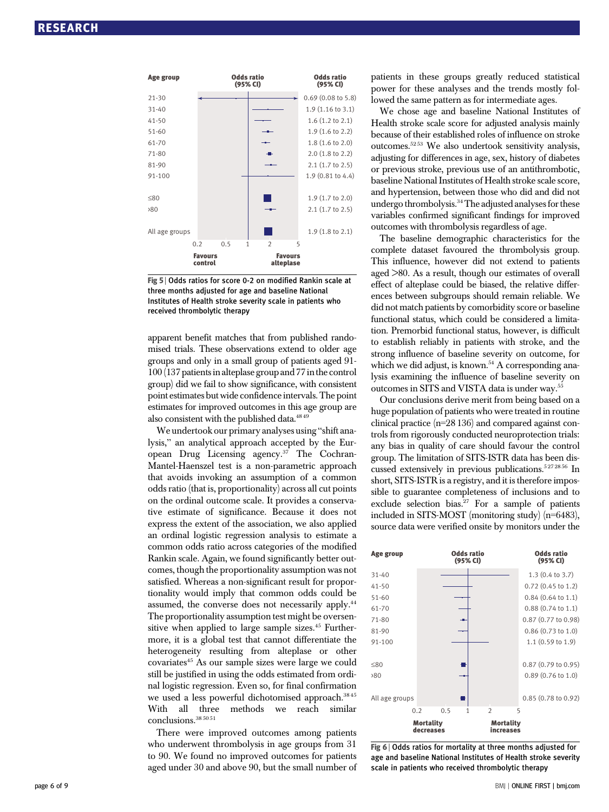

Fig 5 <sup>|</sup> Odds ratios for score 0-2 on modified Rankin scale at three months adjusted for age and baseline National Institutes of Health stroke severity scale in patients who received thrombolytic therapy

apparent benefit matches that from published randomised trials. These observations extend to older age groups and only in a small group of patients aged 91- 100 (137 patients in alteplase group and 77 in the control group) did we fail to show significance, with consistent point estimates but wide confidence intervals. The point estimates for improved outcomes in this age group are also consistent with the published data.<sup>4849</sup>

We undertook our primary analyses using "shift analysis," an analytical approach accepted by the European Drug Licensing agency. $37$  The Cochran-Mantel-Haenszel test is a non-parametric approach that avoids invoking an assumption of a common odds ratio (that is, proportionality) across all cut points on the ordinal outcome scale. It provides a conservative estimate of significance. Because it does not express the extent of the association, we also applied an ordinal logistic regression analysis to estimate a common odds ratio across categories of the modified Rankin scale. Again, we found significantly better outcomes, though the proportionality assumption was not satisfied. Whereas a non-significant result for proportionality would imply that common odds could be assumed, the converse does not necessarily apply.44 The proportionality assumption test might be oversensitive when applied to large sample sizes.<sup>45</sup> Furthermore, it is a global test that cannot differentiate the heterogeneity resulting from alteplase or other covariates45 As our sample sizes were large we could still be justified in using the odds estimated from ordinal logistic regression. Even so, for final confirmation we used a less powerful dichotomised approach.<sup>3845</sup> With all three methods we reach similar conclusions.38 50 51

There were improved outcomes among patients who underwent thrombolysis in age groups from 31 to 90. We found no improved outcomes for patients aged under 30 and above 90, but the small number of patients in these groups greatly reduced statistical power for these analyses and the trends mostly followed the same pattern as for intermediate ages.

We chose age and baseline National Institutes of Health stroke scale score for adjusted analysis mainly because of their established roles of influence on stroke outcomes.52 53 We also undertook sensitivity analysis, adjusting for differences in age, sex, history of diabetes or previous stroke, previous use of an antithrombotic, baseline National Institutes of Health stroke scale score, and hypertension, between those who did and did not undergo thrombolysis.<sup>34</sup> The adjusted analyses for these variables confirmed significant findings for improved outcomes with thrombolysis regardless of age.

The baseline demographic characteristics for the complete dataset favoured the thrombolysis group. This influence, however did not extend to patients aged >80. As a result, though our estimates of overall effect of alteplase could be biased, the relative differences between subgroups should remain reliable. We did not match patients by comorbidity score or baseline functional status, which could be considered a limitation. Premorbid functional status, however, is difficult to establish reliably in patients with stroke, and the strong influence of baseline severity on outcome, for which we did adjust, is known.<sup>54</sup> A corresponding analysis examining the influence of baseline severity on outcomes in SITS and VISTA data is under way.55

Our conclusions derive merit from being based on a huge population of patients who were treated in routine clinical practice (n=28 136) and compared against controls from rigorously conducted neuroprotection trials: any bias in quality of care should favour the control group. The limitation of SITS-ISTR data has been discussed extensively in previous publications.<sup>5272856</sup> In short, SITS-ISTR is a registry, and it is therefore impossible to guarantee completeness of inclusions and to exclude selection bias. $27$  For a sample of patients included in SITS-MOST (monitoring study) (n=6483), source data were verified onsite by monitors under the



Fig 6 | Odds ratios for mortality at three months adjusted for age and baseline National Institutes of Health stroke severity scale in patients who received thrombolytic therapy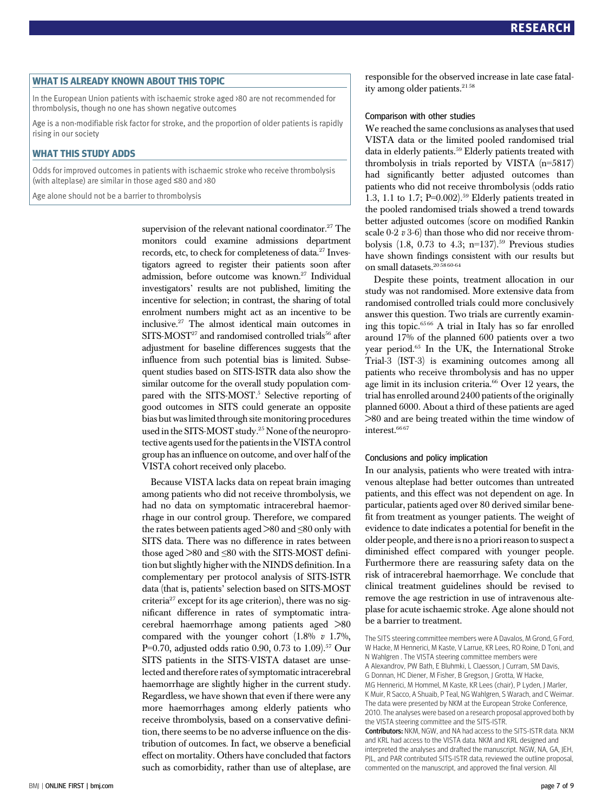WHAT IS ALREADY KNOWN ABOUT THIS TOPIC In the European Union patients with ischaemic stroke aged >80 are not recommended for thrombolysis, though no one has shown negative outcomes

Age is a non-modifiable risk factor for stroke, and the proportion of older patients is rapidly rising in our society

WHAT THIS STUDY ADDS Odds for improved outcomes in patients with ischaemic stroke who receive thrombolysis (with alteplase) are similar in those aged ≤80 and >80

Age alone should not be a barrier to thrombolysis

supervision of the relevant national coordinator.<sup>27</sup> The monitors could examine admissions department records, etc, to check for completeness of data.27 Investigators agreed to register their patients soon after admission, before outcome was known.<sup>27</sup> Individual investigators' results are not published, limiting the incentive for selection; in contrast, the sharing of total enrolment numbers might act as an incentive to be inclusive.27 The almost identical main outcomes in SITS-MOST<sup>27</sup> and randomised controlled trials<sup>56</sup> after adjustment for baseline differences suggests that the influence from such potential bias is limited. Subsequent studies based on SITS-ISTR data also show the similar outcome for the overall study population compared with the SITS-MOST.<sup>5</sup> Selective reporting of good outcomes in SITS could generate an opposite bias but was limited through site monitoring procedures used in the SITS-MOST study.25 None of the neuroprotective agents used for the patients in the VISTA control group has an influence on outcome, and over half of the VISTA cohort received only placebo.

Because VISTA lacks data on repeat brain imaging among patients who did not receive thrombolysis, we had no data on symptomatic intracerebral haemorrhage in our control group. Therefore, we compared the rates between patients aged  $>80$  and  $\leq 80$  only with SITS data. There was no difference in rates between those aged >80 and ≤80 with the SITS-MOST definition but slightly higher with the NINDS definition. In a complementary per protocol analysis of SITS-ISTR data (that is, patients' selection based on SITS-MOST criteria $27$  except for its age criterion), there was no significant difference in rates of symptomatic intracerebral haemorrhage among patients aged >80 compared with the younger cohort  $(1.8\% \text{ } v \text{ } 1.7\%$ , P=0.70, adjusted odds ratio 0.90, 0.73 to 1.09).<sup>57</sup> Our SITS patients in the SITS-VISTA dataset are unselected and therefore rates of symptomatic intracerebral haemorrhage are slightly higher in the current study. Regardless, we have shown that even if there were any more haemorrhages among elderly patients who receive thrombolysis, based on a conservative definition, there seems to be no adverse influence on the distribution of outcomes. In fact, we observe a beneficial effect on mortality. Others have concluded that factors such as comorbidity, rather than use of alteplase, are responsible for the observed increase in late case fatality among older patients.<sup>2158</sup>

#### Comparison with other studies

We reached the same conclusions as analyses that used VISTA data or the limited pooled randomised trial data in elderly patients.<sup>59</sup> Elderly patients treated with thrombolysis in trials reported by VISTA (n=5817) had significantly better adjusted outcomes than patients who did not receive thrombolysis (odds ratio 1.3, 1.1 to 1.7; P=0.002).<sup>59</sup> Elderly patients treated in the pooled randomised trials showed a trend towards better adjusted outcomes (score on modified Rankin scale 0-2 v 3-6) than those who did nor receive thrombolysis  $(1.8, 0.73 \text{ to } 4.3; \text{ n=137}).^{59}$  Previous studies have shown findings consistent with our results but on small datasets.<sup>205860-64</sup>

Despite these points, treatment allocation in our study was not randomised. More extensive data from randomised controlled trials could more conclusively answer this question. Two trials are currently examining this topic.65 66 A trial in Italy has so far enrolled around 17% of the planned 600 patients over a two year period.65 In the UK, the International Stroke Trial-3 (IST-3) is examining outcomes among all patients who receive thrombolysis and has no upper age limit in its inclusion criteria.<sup>66</sup> Over 12 years, the trial has enrolled around 2400 patients of the originally planned 6000. About a third of these patients are aged >80 and are being treated within the time window of interest.<sup>66 67</sup>

#### Conclusions and policy implication

In our analysis, patients who were treated with intravenous alteplase had better outcomes than untreated patients, and this effect was not dependent on age. In particular, patients aged over 80 derived similar benefit from treatment as younger patients. The weight of evidence to date indicates a potential for benefit in the older people, and there is no a priori reason to suspect a diminished effect compared with younger people. Furthermore there are reassuring safety data on the risk of intracerebral haemorrhage. We conclude that clinical treatment guidelines should be revised to remove the age restriction in use of intravenous alteplase for acute ischaemic stroke. Age alone should not be a barrier to treatment.

The SITS steering committee members were A Davalos, M Grond, G Ford, W Hacke, M Hennerici, M Kaste, V Larrue, KR Lees, RO Roine, D Toni, and N Wahlgren . The VISTA steering committee members were A Alexandrov, PW Bath, E Bluhmki, L Claesson, L Curram, SM Davis, G Donnan, HC Diener, M Fisher, B Gregson, J Grotta, W Hacke, MG Hennerici, M Hommel, M Kaste, KR Lees (chair), P Lyden, J Marler, K Muir, R Sacco, A Shuaib, P Teal, NG Wahlgren, S Warach, and C Weimar. The data were presented by NKM at the European Stroke Conference, 2010. The analyses were based on a research proposal approved both by the VISTA steering committee and the SITS-ISTR. Contributors: NKM, NGW, and NA had access to the SITS-ISTR data. NKM and KRL had access to the VISTA data. NKM and KRL designed and interpreted the analyses and drafted the manuscript. NGW, NA, GA, JEH, PIL, and PAR contributed SITS-ISTR data, reviewed the outline proposal. commented on the manuscript, and approved the final version. All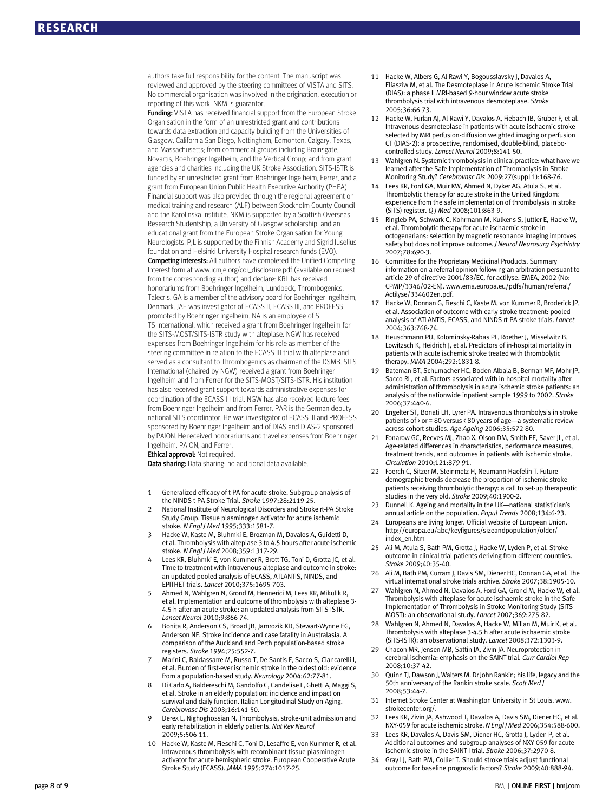authors take full responsibility for the content. The manuscript was reviewed and approved by the steering committees of VISTA and SITS. No commercial organisation was involved in the origination, execution or reporting of this work. NKM is guarantor.

Funding: VISTA has received financial support from the European Stroke Organisation in the form of an unrestricted grant and contributions towards data extraction and capacity building from the Universities of Glasgow, California San Diego, Nottingham, Edmonton, Calgary, Texas, and Massachusetts; from commercial groups including Brainsgate, Novartis, Boehringer Ingelheim, and the Vertical Group; and from grant agencies and charities including the UK Stroke Association. SITS-ISTR is funded by an unrestricted grant from Boehringer Ingelheim, Ferrer, and a grant from European Union Public Health Executive Authority (PHEA). Financial support was also provided through the regional agreement on medical training and research (ALF) between Stockholm County Council and the Karolinska Institute. NKM is supported by a Scottish Overseas Research Studentship, a University of Glasgow scholarship, and an educational grant from the European Stroke Organisation for Young Neurologists. PJL is supported by the Finnish Academy and Sigrid Juselius foundation and Helsinki University Hospital research funds (EVO).

Competing interests: All authors have completed the Unified Competing Interest form at www.icmje.org/coi\_disclosure.pdf (available on request from the corresponding author) and declare: KRL has received honorariums from Boehringer Ingelheim, Lundbeck, Thrombogenics, Talecris. GA is a member of the advisory board for Boehringer Ingelheim, Denmark. JAE was investigator of ECASS II, ECASS III, and PROFESS promoted by Boehringer Ingelheim. NA is an employee of SI TS International, which received a grant from Boehringer Ingelheim for the SITS-MOST/SITS-ISTR study with alteplase. NGW has received expenses from Boehringer Ingelheim for his role as member of the steering committee in relation to the ECASS III trial with alteplase and served as a consultant to Thrombogenics as chairman of the DSMB. SITS International (chaired by NGW) received a grant from Boehringer Ingelheim and from Ferrer for the SITS-MOST/SITS-ISTR. His institution has also received grant support towards administrative expenses for coordination of the ECASS III trial. NGW has also received lecture fees from Boehringer Ingelheim and from Ferrer. PAR is the German deputy national SITS coordinator. He was investigator of ECASS III and PROFESS sponsored by Boehringer Ingelheim and of DIAS and DIAS-2 sponsored by PAION. He received honorariums and travel expenses from Boehringer Ingelheim, PAION, and Ferrer.

#### **Ethical approval: Not required.**

Data sharing: Data sharing: no additional data available.

- 1 Generalized efficacy of t-PA for acute stroke. Subgroup analysis of the NINDS t-PA Stroke Trial. Stroke 1997;28:2119-25.
- 2 National Institute of Neurological Disorders and Stroke rt-PA Stroke Study Group. Tissue plasminogen activator for acute ischemic stroke. N Engl J Med 1995;333:1581-7.
- 3 Hacke W, Kaste M, Bluhmki E, Brozman M, Davalos A, Guidetti D, et al. Thrombolysis with alteplase 3 to 4.5 hours after acute ischemic stroke. N Engl J Med 2008;359:1317-29.
- 4 Lees KR, Bluhmki E, von Kummer R, Brott TG, Toni D, Grotta JC, et al. Time to treatment with intravenous alteplase and outcome in stroke: an updated pooled analysis of ECASS, ATLANTIS, NINDS, and EPITHET trials. Lancet 2010;375:1695-703.
- 5 Ahmed N, Wahlgren N, Grond M, Hennerici M, Lees KR, Mikulik R, et al. Implementation and outcome of thrombolysis with alteplase 3- 4.5 h after an acute stroke: an updated analysis from SITS-ISTR. Lancet Neurol 2010;9:866-74.
- 6 Bonita R, Anderson CS, Broad JB, Jamrozik KD, Stewart-Wynne EG, Anderson NE. Stroke incidence and case fatality in Australasia. A comparison of the Auckland and Perth population-based stroke registers. Stroke 1994;25:552-7.
- 7 Marini C, Baldassarre M, Russo T, De Santis F, Sacco S, Ciancarelli I, et al. Burden of first-ever ischemic stroke in the oldest old: evidence from a population-based study. Neurology 2004;62:77-81.
- 8 Di Carlo A, Baldereschi M, Gandolfo C, Candelise L, Ghetti A, Maggi S, et al. Stroke in an elderly population: incidence and impact on survival and daily function. Italian Longitudinal Study on Aging. Cerebrovasc Dis 2003;16:141-50.
- 9 Derex L, Nighoghossian N. Thrombolysis, stroke-unit admission and early rehabilitation in elderly patients. Nat Rev Neurol 2009;5:506-11.
- 10 Hacke W, Kaste M, Fieschi C, Toni D, Lesaffre E, von Kummer R, et al. Intravenous thrombolysis with recombinant tissue plasminogen activator for acute hemispheric stroke. European Cooperative Acute Stroke Study (ECASS). JAMA 1995;274:1017-25.
- 11 Hacke W, Albers G, Al-Rawi Y, Bogousslavsky J, Davalos A, Eliasziw M, et al. The Desmoteplase in Acute Ischemic Stroke Trial (DIAS): a phase II MRI-based 9-hour window acute stroke thrombolysis trial with intravenous desmoteplase. Stroke 2005;36:66-73.
- 12 Hacke W, Furlan AJ, Al-Rawi Y, Davalos A, Fiebach JB, Gruber F, et al. Intravenous desmoteplase in patients with acute ischaemic stroke selected by MRI perfusion-diffusion weighted imaging or perfusion CT (DIAS-2): a prospective, randomised, double-blind, placebocontrolled study. Lancet Neurol 2009;8:141-50.
- Wahlgren N. Systemic thrombolysis in clinical practice: what have we learned after the Safe Implementation of Thrombolysis in Stroke Monitoring Study? Cerebrovasc Dis 2009;27(suppl 1):168-76.
- 14 Lees KR, Ford GA, Muir KW, Ahmed N, Dyker AG, Atula S, et al. Thrombolytic therapy for acute stroke in the United Kingdom: experience from the safe implementation of thrombolysis in stroke (SITS) register. Q J Med 2008;101:863-9.
- 15 Ringleb PA, Schwark C, Kohrmann M, Kulkens S, Juttler E, Hacke W, et al. Thrombolytic therapy for acute ischaemic stroke in octogenarians: selection by magnetic resonance imaging improves safety but does not improve outcome. J Neurol Neurosurg Psychiatry 2007;78:690-3.
- 16 Committee for the Proprietary Medicinal Products. Summary information on a referral opinion following an arbitration persuant to article 29 of directive 2001/83/EC, for actilyse. EMEA, 2002 (No: CPMP/3346/02-EN). www.ema.europa.eu/pdfs/human/referral/ Actilyse/334602en.pdf.
- 17 Hacke W, Donnan G, Fieschi C, Kaste M, von Kummer R, Broderick JP, et al. Association of outcome with early stroke treatment: pooled analysis of ATLANTIS, ECASS, and NINDS rt-PA stroke trials. Lancet 2004;363:768-74.
- 18 Heuschmann PU, Kolominsky-Rabas PL, Roether J, Misselwitz B, Lowitzsch K, Heidrich J, et al. Predictors of in-hospital mortality in patients with acute ischemic stroke treated with thrombolytic therapy. JAMA 2004;292:1831-8.
- 19 Bateman BT, Schumacher HC, Boden-Albala B, Berman MF, Mohr JP, Sacco RL, et al. Factors associated with in-hospital mortality after administration of thrombolysis in acute ischemic stroke patients: an analysis of the nationwide inpatient sample 1999 to 2002. Stroke 2006;37:440-6.
- 20 Engelter ST, Bonati LH, Lyrer PA, Intravenous thrombolysis in stroke patients of  $\rightarrow$  or = 80 versus < 80 years of age—a systematic review across cohort studies. Age Ageing 2006;35:572-80.
- Fonarow GC, Reeves MJ, Zhao X, Olson DM, Smith EE, Saver JL, et al. Age-related differences in characteristics, performance measures, treatment trends, and outcomes in patients with ischemic stroke. Circulation 2010;121:879-91.
- 22 Foerch C, Sitzer M, Steinmetz H, Neumann-Haefelin T. Future demographic trends decrease the proportion of ischemic stroke patients receiving thrombolytic therapy: a call to set-up therapeutic studies in the very old. Stroke 2009;40:1900-2.
- 23 Dunnell K. Ageing and mortality in the UK—national statistician's annual article on the population. Popul Trends 2008;134:6-23.
- 24 Europeans are living longer. Official website of European Union. http://europa.eu/abc/keyfigures/sizeandpopulation/older/ index\_en.htm
- 25 Ali M, Atula S, Bath PM, Grotta J, Hacke W, Lyden P, et al. Stroke outcome in clinical trial patients deriving from different countries. Stroke 2009;40:35-40.
- Ali M, Bath PM, Curram J, Davis SM, Diener HC, Donnan GA, et al. The virtual international stroke trials archive. Stroke 2007;38:1905-10.
- 27 Wahlgren N, Ahmed N, Davalos A, Ford GA, Grond M, Hacke W, et al. Thrombolysis with alteplase for acute ischaemic stroke in the Safe Implementation of Thrombolysis in Stroke-Monitoring Study (SITS-MOST): an observational study. Lancet 2007;369:275-82.
- 28 Wahlgren N, Ahmed N, Davalos A, Hacke W, Millan M, Muir K, et al. Thrombolysis with alteplase 3-4.5 h after acute ischaemic stroke (SITS-ISTR): an observational study. Lancet 2008;372:1303-9.
- 29 Chacon MR, Jensen MB, Sattin JA, Zivin JA. Neuroprotection in cerebral ischemia: emphasis on the SAINT trial. Curr Cardiol Rep 2008;10:37-42.
- 30 Quinn TJ, Dawson J, Walters M. Dr John Rankin; his life, legacy and the 50th anniversary of the Rankin stroke scale. Scott Med J 2008;53:44-7.
- 31 Internet Stroke Center at Washington University in St Louis. www. strokecenter.org/.
- 32 Lees KR, Zivin JA, Ashwood T, Davalos A, Davis SM, Diener HC, et al. NXY-059 for acute ischemic stroke. N Engl J Med 2006;354:588-600.
- 33 Lees KR, Davalos A, Davis SM, Diener HC, Grotta J, Lyden P, et al. Additional outcomes and subgroup analyses of NXY-059 for acute ischemic stroke in the SAINT I trial. Stroke 2006;37:2970-8.
- 34 Gray LJ, Bath PM, Collier T. Should stroke trials adjust functional outcome for baseline prognostic factors? Stroke 2009;40:888-94.